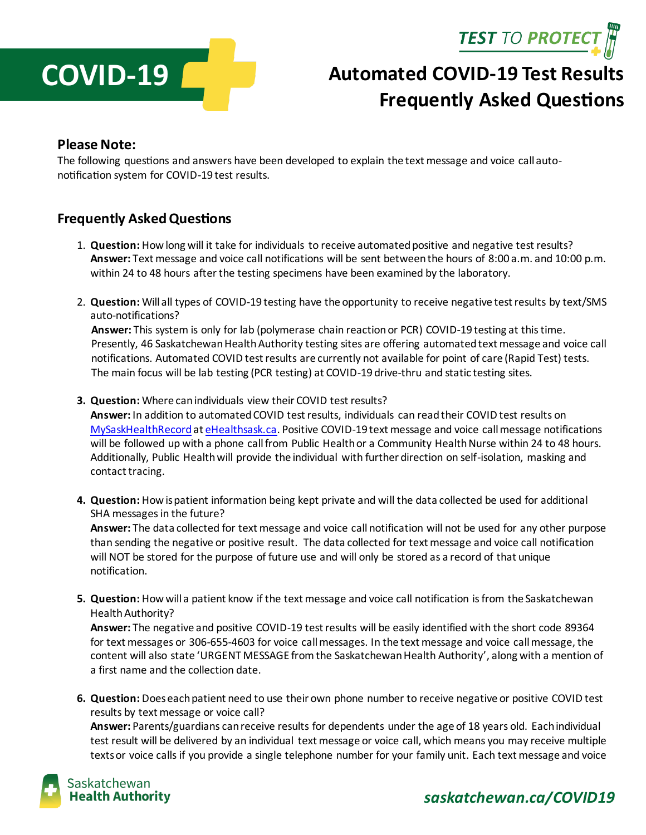



# **Automated COVID-19 Test Results Frequently Asked Questions**

#### **Please Note:**

The following questions and answers have been developed to explain the text message and voice call autonotification system for COVID-19 test results.

#### **Frequently Asked Questions**

- 1. **Question:** How long will it take for individuals to receive automated positive and negative test results? **Answer:** Text message and voice call notifications will be sent between the hours of 8:00 a.m. and 10:00 p.m. within 24 to 48 hours after the testing specimens have been examined by the laboratory.
- 2. **Question:** Will all types of COVID-19 testing have the opportunity to receive negative test results by text/SMS auto-notifications?

**Answer:** This system is only for lab (polymerase chain reaction or PCR) COVID-19 testing at this time. Presently, 46 Saskatchewan Health Authority testing sites are offering automated text message and voice call notifications. Automated COVID test results are currently not available for point of care (Rapid Test) tests. The main focus will be lab testing (PCR testing) at COVID-19 drive-thru and static testing sites.

**3. Question:** Where can individuals view their COVID test results?

**Answer:** In addition to automated COVID test results, individuals can readtheir COVID test results on [MySaskHealthRecord](https://www.ehealthsask.ca/MySaskHealthRecord/MySaskHealthRecord/Pages/default.aspx) a[t eHealthsask.ca.](file://///SHA-N-FS01.skhealth.ca/shared$/Communications/Crisis%20Communications/SHA%20Incidents-Crisis/Coronavirus%20January%202020/Testing/Auto-Notification%20System/Auto-Notification-PositiveResults/Toolkit/eHealthsask.ca) Positive COVID-19 text message and voice call message notifications will be followed up with a phone call from Public Health or a Community Health Nurse within 24 to 48 hours. Additionally, Public Health will provide the individual with further direction on self-isolation, masking and contact tracing.

**4. Question:** How is patient information being kept private and will the data collected be used for additional SHA messages in the future?

**Answer:** The data collected for text message and voice call notification will not be used for any other purpose than sending the negative or positive result. The data collected for text message and voice call notification will NOT be stored for the purpose of future use and will only be stored as a record of that unique notification.

**5. Question:** How will a patient know if the text message and voice call notification is from the Saskatchewan Health Authority?

**Answer:** The negative and positive COVID-19 test results will be easily identified with the short code 89364 for text messages or 306-655-4603 for voice call messages. In the text message and voice call message, the content will also state 'URGENT MESSAGE fromthe Saskatchewan Health Authority', along with a mention of a first name and the collection date.

**6. Question:** Does each patient need to use their own phone number to receive negative or positive COVID test results by text message or voice call?

**Answer:** Parents/guardians can receive results for dependents under the age of 18 years old. Each individual test result will be delivered by an individual text message or voice call, which means you may receive multiple texts or voice calls if you provide a single telephone number for your family unit. Each text message and voice



### *saskatchewan.ca/COVID19*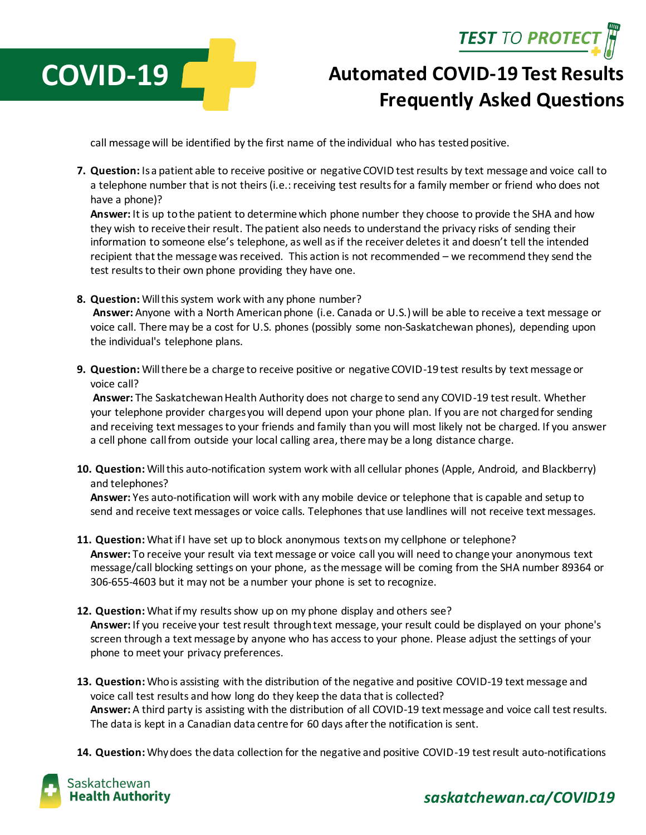**TEST TO PROTECT** 



# **Automated COVID-19 Test Results Frequently Asked Questions**

call message will be identified by the first name of the individual who has tested positive.

**7. Question:** Is a patient able to receive positive or negative COVID test results by text message and voice call to a telephone number that is not theirs(i.e.: receiving test results for a family member or friend who does not have a phone)?

**Answer:** It is up to the patient to determine which phone number they choose to provide the SHA and how they wish to receive their result. The patient also needs to understand the privacy risks of sending their information to someone else's telephone, as well as if the receiver deletes it and doesn't tell the intended recipient that the message was received. This action is not recommended – we recommend they send the test results to their own phone providing they have one.

**8. Question:** Will this system work with any phone number?

**Answer:** Anyone with a North American phone (i.e. Canada or U.S.)will be able to receive a text message or voice call. Theremay be a cost for U.S. phones (possibly some non-Saskatchewan phones), depending upon the individual's telephone plans.

**9. Question:** Will there be a charge to receive positive or negative COVID-19 test results by text message or voice call?

**Answer:** The Saskatchewan Health Authority does not charge to send any COVID-19 test result. Whether your telephone provider charges you will depend upon your phone plan. If you are not charged for sending and receiving text messages to your friends and family than you will most likely not be charged. If you answer a cell phone call from outside your local calling area, there may be a long distance charge.

**10. Question:** Will this auto-notification system work with all cellular phones (Apple, Android, and Blackberry) and telephones?

**Answer:** Yes auto-notification will work with any mobile device or telephone that is capable and setup to send and receive text messages or voice calls. Telephones that use landlines will not receive text messages.

- **11. Question:** What if I have set up to block anonymous texts on my cellphone or telephone? **Answer:** To receive your result via text message or voice call you will need to change your anonymous text message/call blocking settings on your phone, as the message will be coming from the SHA number 89364 or 306-655-4603 but it may not be a number your phone is set to recognize.
- **12. Question:** What if my results show up on my phone display and others see? **Answer:** If you receive your test result through text message, your result could be displayed on your phone's screen through a text message by anyone who has access to your phone. Please adjust the settings of your phone to meet your privacy preferences.
- **13. Question:** Who is assisting with the distribution of the negative and positive COVID-19 text message and voice call test results and how long do they keep the data that is collected? **Answer:** A third party is assisting with the distribution of all COVID-19 text message and voice call test results. The data is kept in a Canadian data centre for 60 days after the notification is sent.
- **14. Question:** Whydoes the data collection for the negative and positive COVID-19 test result auto-notifications



### *saskatchewan.ca/COVID19*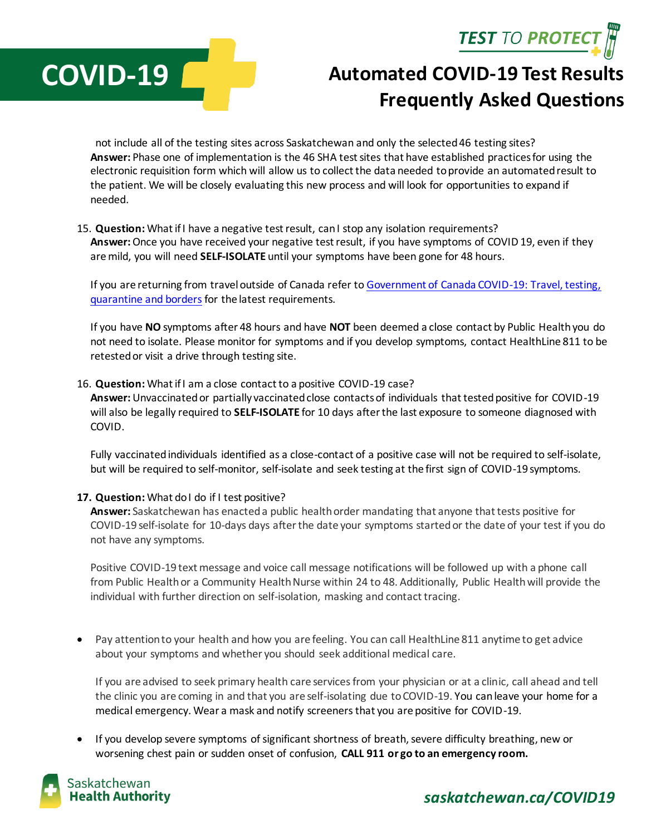**TEST TO PROTECT** 



# **Automated COVID-19 Test Results Frequently Asked Questions**

not include all of the testing sites across Saskatchewan and only the selected 46 testing sites? **Answer:** Phase one of implementation is the 46 SHA test sites that have established practices for using the electronic requisition form which will allow us to collect the data needed to provide an automated result to the patient. We will be closely evaluating this new process and will look for opportunities to expand if needed.

15. **Question:** What if I have a negative test result, can I stop any isolation requirements? **Answer:**Once you have received your negative test result, if you have symptoms of COVID 19, even if they are mild, you will need **SELF-ISOLATE** until your symptoms have been gone for 48 hours.

If you are returning from travel outside of Canada refer t[o Government of Canada COVID-19: Travel, testing,](https://travel.gc.ca/travel-covid)  [quarantine and borders](https://travel.gc.ca/travel-covid) for the latest requirements.

If you have **NO** symptoms after 48 hours and have **NOT** been deemed a close contact by Public Health you do not need to isolate. Please monitor for symptoms and if you develop symptoms, contact HealthLine 811 to be retested or visit a drive through testing site.

#### 16. **Question:** What if I am a close contact to a positive COVID-19 case?

**Answer:** Unvaccinated or partially vaccinated close contacts of individuals that tested positive for COVID-19 will also be legally required to **SELF-ISOLATE** for 10 days after the last exposure to someone diagnosed with COVID.

Fully vaccinated individuals identified as a close-contact of a positive case will not be required to self-isolate, but will be required to self-monitor, self-isolate and seek testing at the first sign of COVID-19 symptoms.

#### **17. Question:** What do I do if I test positive?

**Answer:** Saskatchewan has enacted a public health order mandating that anyone that tests positive for COVID-19 self-isolate for 10-days days after the date your symptoms started or the date of your test if you do not have any symptoms.

Positive COVID-19 text message and voice call message notifications will be followed up with a phone call from Public Health or a Community Health Nurse within 24 to 48. Additionally, Public Health will provide the individual with further direction on self-isolation, masking and contact tracing.

 Pay attention to your health and how you are feeling. You can call HealthLine 811 anytime to get advice about your symptoms and whether you should seek additional medical care.

If you are advised to seek primary health care services from your physician or at a clinic, call ahead and tell the clinic you are coming in and that you are self-isolating due to COVID-19. You can leave your home for a medical emergency. Wear a mask and notify screeners that you are positive for COVID-19.

 If you develop severe symptoms of significant shortness of breath, severe difficulty breathing, new or worsening chest pain or sudden onset of confusion, **CALL 911 or go to an emergency room.**



### *saskatchewan.ca/COVID19*